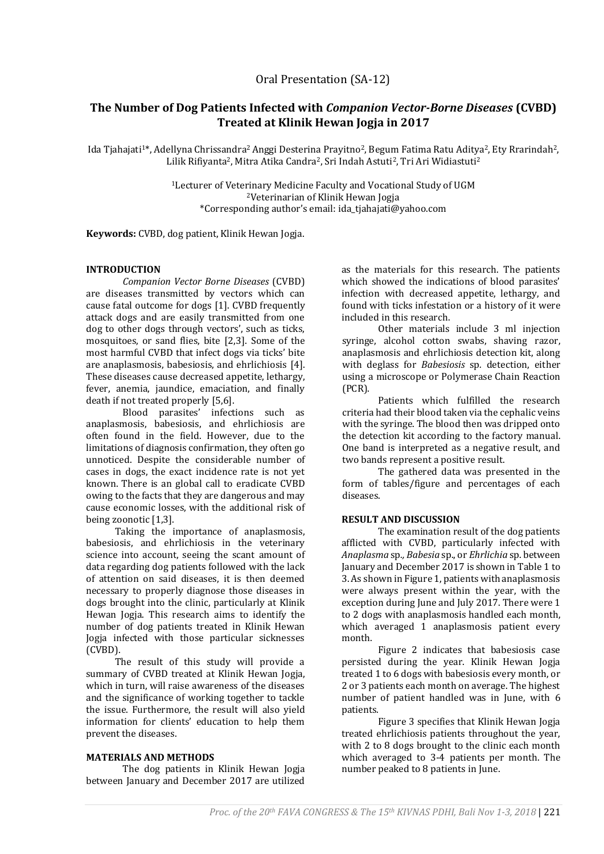# **The Number of Dog Patients Infected with** *Companion Vector-Borne Diseases* **(CVBD) Treated at Klinik Hewan Jogja in 2017**

Ida Tjahajati<sup>1\*</sup>, Adellyna Chrissandra<sup>2</sup> Anggi Desterina Prayitno<sup>2</sup>, Begum Fatima Ratu Aditya<sup>2</sup>, Ety Rrarindah<sup>2</sup>, Lilik Rifiyanta<sup>2</sup>, Mitra Atika Candra<sup>2</sup>, Sri Indah Astuti<sup>2</sup>, Tri Ari Widiastuti<sup>2</sup>

> <sup>1</sup>Lecturer of Veterinary Medicine Faculty and Vocational Study of UGM <sup>2</sup>Veterinarian of Klinik Hewan Jogja \*Corresponding author's email: [ida\\_tjahajati@yahoo.com](mailto:ida_tjahajati@yahoo.com)

**Keywords:** CVBD, dog patient, Klinik Hewan Jogja.

## **INTRODUCTION**

*Companion Vector Borne Diseases* (CVBD) are diseases transmitted by vectors which can cause fatal outcome for dogs [1]. CVBD frequently attack dogs and are easily transmitted from one dog to other dogs through vectors', such as ticks, mosquitoes, or sand flies, bite [2,3]. Some of the most harmful CVBD that infect dogs via ticks' bite are anaplasmosis, babesiosis, and ehrlichiosis [4]. These diseases cause decreased appetite, lethargy, fever, anemia, jaundice, emaciation, and finally death if not treated properly [5,6].

Blood parasites' infections such as anaplasmosis, babesiosis, and ehrlichiosis are often found in the field. However, due to the limitations of diagnosis confirmation, they often go unnoticed. Despite the considerable number of cases in dogs, the exact incidence rate is not yet known. There is an global call to eradicate CVBD owing to the facts that they are dangerous and may cause economic losses, with the additional risk of being zoonotic [1,3].

Taking the importance of anaplasmosis, babesiosis, and ehrlichiosis in the veterinary science into account, seeing the scant amount of data regarding dog patients followed with the lack of attention on said diseases, it is then deemed necessary to properly diagnose those diseases in dogs brought into the clinic, particularly at Klinik Hewan Jogja. This research aims to identify the number of dog patients treated in Klinik Hewan Jogja infected with those particular sicknesses (CVBD).

The result of this study will provide a summary of CVBD treated at Klinik Hewan Jogja, which in turn, will raise awareness of the diseases and the significance of working together to tackle the issue. Furthermore, the result will also yield information for clients' education to help them prevent the diseases.

#### **MATERIALS AND METHODS**

The dog patients in Klinik Hewan Jogja between January and December 2017 are utilized as the materials for this research. The patients which showed the indications of blood parasites' infection with decreased appetite, lethargy, and found with ticks infestation or a history of it were included in this research.

 Other materials include 3 ml injection syringe, alcohol cotton swabs, shaving razor, anaplasmosis and ehrlichiosis detection kit, along with deglass for *Babesiosis* sp*.* detection, either using a microscope or Polymerase Chain Reaction (PCR).

Patients which fulfilled the research criteria had their blood taken via the cephalic veins with the syringe. The blood then was dripped onto the detection kit according to the factory manual. One band is interpreted as a negative result, and two bands represent a positive result.

The gathered data was presented in the form of tables/figure and percentages of each diseases.

## **RESULT AND DISCUSSION**

The examination result of the dog patients afflicted with CVBD, particularly infected with *Anaplasma* sp*., Babesia* sp., or *Ehrlichia* sp. between January and December 2017 is shown in Table 1 to 3. As shown in Figure 1, patients with anaplasmosis were always present within the year, with the exception during June and July 2017. There were 1 to 2 dogs with anaplasmosis handled each month, which averaged 1 anaplasmosis patient every month.

Figure 2 indicates that babesiosis case persisted during the year. Klinik Hewan Jogja treated 1 to 6 dogs with babesiosis every month, or 2 or 3 patients each month on average. The highest number of patient handled was in June, with 6 patients.

Figure 3 specifies that Klinik Hewan Jogja treated ehrlichiosis patients throughout the year, with 2 to 8 dogs brought to the clinic each month which averaged to 3-4 patients per month. The number peaked to 8 patients in June.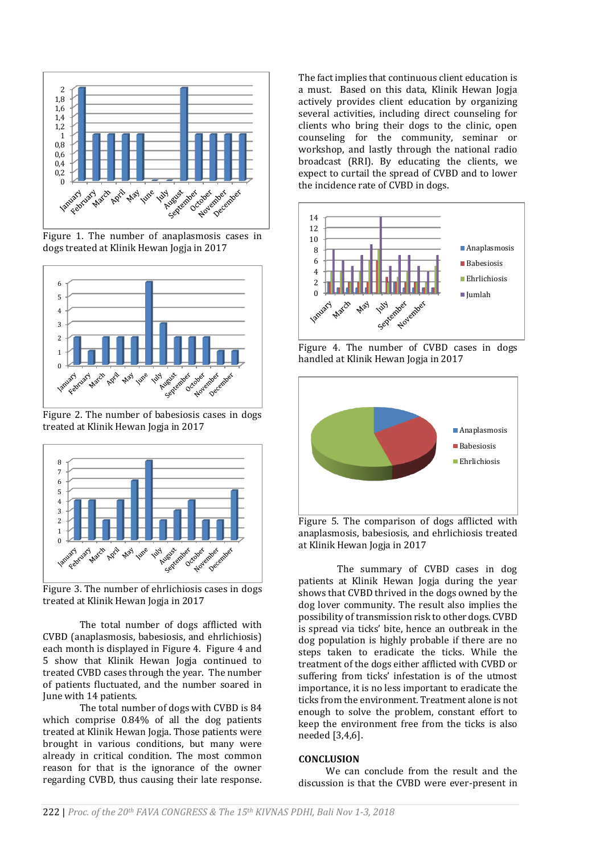

Figure 1. The number of anaplasmosis cases in dogs treated at Klinik Hewan Jogja in 2017



Figure 2. The number of babesiosis cases in dogs treated at Klinik Hewan Jogja in 2017



Figure 3. The number of ehrlichiosis cases in dogs treated at Klinik Hewan Jogja in 2017

The total number of dogs afflicted with CVBD (anaplasmosis, babesiosis, and ehrlichiosis) each month is displayed in Figure 4. Figure 4 and 5 show that Klinik Hewan Jogja continued to treated CVBD cases through the year. The number of patients fluctuated, and the number soared in June with 14 patients.

The total number of dogs with CVBD is 84 which comprise 0.84% of all the dog patients treated at Klinik Hewan Jogja. Those patients were brought in various conditions, but many were already in critical condition. The most common reason for that is the ignorance of the owner regarding CVBD, thus causing their late response.

The fact implies that continuous client education is a must. Based on this data, Klinik Hewan Jogja actively provides client education by organizing several activities, including direct counseling for clients who bring their dogs to the clinic, open counseling for the community, seminar or workshop, and lastly through the national radio broadcast (RRI). By educating the clients, we expect to curtail the spread of CVBD and to lower the incidence rate of CVBD in dogs.



Figure 4. The number of CVBD cases in dogs handled at Klinik Hewan Jogja in 2017



Figure 5. The comparison of dogs afflicted with anaplasmosis, babesiosis, and ehrlichiosis treated at Klinik Hewan Jogja in 2017

The summary of CVBD cases in dog patients at Klinik Hewan Jogja during the year shows that CVBD thrived in the dogs owned by the dog lover community. The result also implies the possibility of transmission risk to other dogs. CVBD is spread via ticks' bite, hence an outbreak in the dog population is highly probable if there are no steps taken to eradicate the ticks. While the treatment of the dogs either afflicted with CVBD or suffering from ticks' infestation is of the utmost importance, it is no less important to eradicate the ticks from the environment. Treatment alone is not enough to solve the problem, constant effort to keep the environment free from the ticks is also needed [3,4,6].

#### **CONCLUSION**

We can conclude from the result and the discussion is that the CVBD were ever-present in